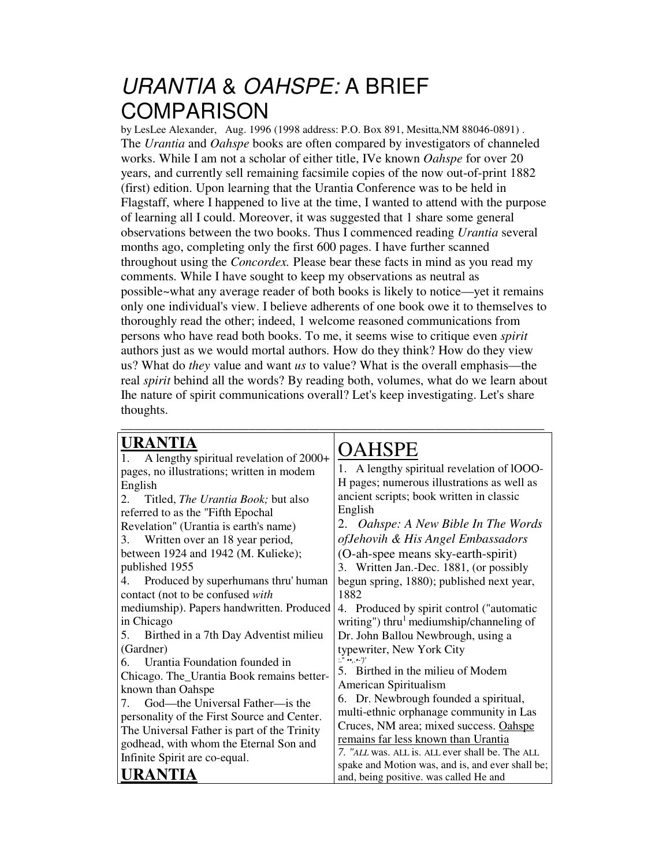## *URANTIA* & *OAHSPE:* A BRIEF **COMPARISON**

by LesLee Alexander, Aug. 1996 (1998 address: P.O. Box 891, Mesitta,NM 88046-0891) . The *Urantia* and *Oahspe* books are often compared by investigators of channeled works. While I am not a scholar of either title, IVe known *Oahspe* for over 20 years, and currently sell remaining facsimile copies of the now out-of-print 1882 (first) edition. Upon learning that the Urantia Conference was to be held in Flagstaff, where I happened to live at the time, I wanted to attend with the purpose of learning all I could. Moreover, it was suggested that 1 share some general observations between the two books. Thus I commenced reading *Urantia* several months ago, completing only the first 600 pages. I have further scanned throughout using the *Concordex.* Please bear these facts in mind as you read my comments. While I have sought to keep my observations as neutral as possible~what any average reader of both books is likely to notice—yet it remains only one individual's view. I believe adherents of one book owe it to themselves to thoroughly read the other; indeed, 1 welcome reasoned communications from persons who have read both books. To me, it seems wise to critique even *spirit* authors just as we would mortal authors. How do they think? How do they view us? What do *they* value and want *us* to value? What is the overall emphasis—the real *spirit* behind all the words? By reading both, volumes, what do we learn about Ihe nature of spirit communications overall? Let's keep investigating. Let's share thoughts.

\_\_\_\_\_\_\_\_\_\_\_\_\_\_\_\_\_\_\_\_\_\_\_\_\_\_\_\_\_\_\_\_\_\_\_\_\_\_\_\_\_\_\_\_\_\_\_\_\_\_\_\_\_\_\_\_\_\_\_\_\_\_\_\_\_\_

 $\bigcap$  a lie de

## **URANTIA**

| A lengthy spiritual revelation of 2000+<br>1.    | UAHJI E                                          |
|--------------------------------------------------|--------------------------------------------------|
| pages, no illustrations; written in modem        | 1. A lengthy spiritual revelation of lOOO-       |
| English                                          | H pages; numerous illustrations as well as       |
| Titled, <i>The Urantia Book</i> ; but also<br>2. | ancient scripts; book written in classic         |
|                                                  | English                                          |
| referred to as the "Fifth Epochal                | 2. Oahspe: A New Bible In The Words              |
| Revelation" (Urantia is earth's name)            |                                                  |
| Written over an 18 year period,<br>3.            | of Jehovih & His Angel Embassadors               |
| between 1924 and 1942 (M. Kulieke);              | (O-ah-spee means sky-earth-spirit)               |
| published 1955                                   | 3. Written Jan.-Dec. 1881, (or possibly          |
| Produced by superhumans thru' human<br>4.        | begun spring, 1880); published next year,        |
| contact (not to be confused with                 | 1882                                             |
| mediumship). Papers handwritten. Produced        | 4. Produced by spirit control ("automatic        |
| in Chicago                                       | writing") thru mediumship/channeling of          |
| Birthed in a 7th Day Adventist milieu<br>5.      | Dr. John Ballou Newbrough, using a               |
| (Gardner)                                        | typewriter, New York City                        |
| Urantia Foundation founded in<br>6.              | $\cdots$ $')'$                                   |
| Chicago. The_Urantia Book remains better-        | 5. Birthed in the milieu of Modem                |
| known than Oahspe                                | American Spiritualism                            |
| God—the Universal Father—is the<br>7             | 6. Dr. Newbrough founded a spiritual,            |
| personality of the First Source and Center.      | multi-ethnic orphanage community in Las          |
| The Universal Father is part of the Trinity      | Cruces, NM area; mixed success. Oahspe           |
| godhead, with whom the Eternal Son and           | remains far less known than Urantia              |
| Infinite Spirit are co-equal.                    | 7. "ALL was. ALL is. ALL ever shall be. The ALL  |
|                                                  | spake and Motion was, and is, and ever shall be; |
| <b>URANTIA</b>                                   | and, being positive. was called He and           |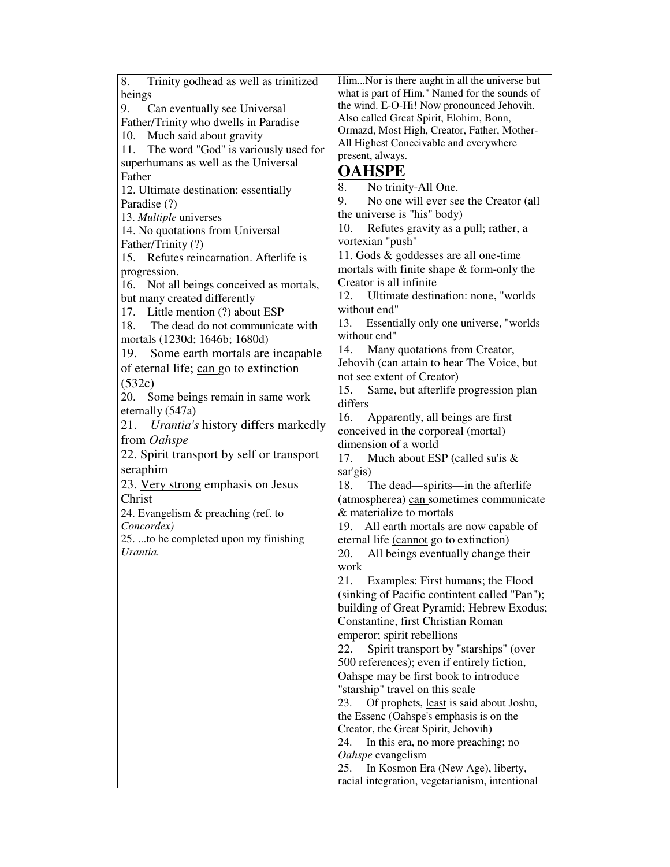8. Trinity godhead as well as trinitized beings<br>9. C Can eventually see Universal Father/Trinity who dwells in Paradise 10. Much said about gravity 11. The word "God" is variously used for superhumans as well as the Universal Father 12. Ultimate destination: essentially Paradise (?) 13. *Multiple* universes 14. No quotations from Universal Father/Trinity (?) 15. Refutes reincarnation. Afterlife is progression. 16. Not all beings conceived as mortals, but many created differently 17. Little mention (?) about ESP 18. The dead do not communicate with mortals (1230d; 1646b; 1680d) 19. Some earth mortals are incapable of eternal life; can go to extinction (532c) 20. Some beings remain in same work eternally (547a) 21. *Urantia's* history differs markedly from *Oahspe* 22. Spirit transport by self or transport seraphim 23. Very strong emphasis on Jesus Christ 24. Evangelism & preaching (ref. to *Concordex)* 25. ...to be completed upon my finishing *Urantia.* Him...Nor is there aught in all the universe but what is part of Him." Named for the sounds of the wind. E-O-Hi! Now pronounced Jehovih. Also called Great Spirit, Elohirn, Bonn, Ormazd, Most High, Creator, Father, Mother-All Highest Conceivable and everywhere present, always. **OAHSPE** 8. No trinity-All One. 9. No one will ever see the Creator (all the universe is "his" body) 10. Refutes gravity as a pull; rather, a vortexian "push" 11. Gods & goddesses are all one-time mortals with finite shape & form-only the Creator is all infinite 12. Ultimate destination: none, "worlds without end" 13. Essentially only one universe, "worlds without end" 14. Many quotations from Creator, Jehovih (can attain to hear The Voice, but not see extent of Creator) 15. Same, but afterlife progression plan differs 16. Apparently, all beings are first conceived in the corporeal (mortal) dimension of a world 17. Much about ESP (called su'is & sar'gis) 18. The dead—spirits—in the afterlife (atmospherea) can sometimes communicate & materialize to mortals 19. All earth mortals are now capable of eternal life (cannot go to extinction) 20. All beings eventually change their work 21. Examples: First humans; the Flood (sinking of Pacific contintent called "Pan"); building of Great Pyramid; Hebrew Exodus; Constantine, first Christian Roman emperor; spirit rebellions 22. Spirit transport by "starships" (over 500 references); even if entirely fiction, Oahspe may be first book to introduce "starship" travel on this scale 23. Of prophets, least is said about Joshu, the Essenc (Oahspe's emphasis is on the Creator, the Great Spirit, Jehovih) 24. In this era, no more preaching; no *Oahspe* evangelism 25. In Kosmon Era (New Age), liberty, racial integration, vegetarianism, intentional